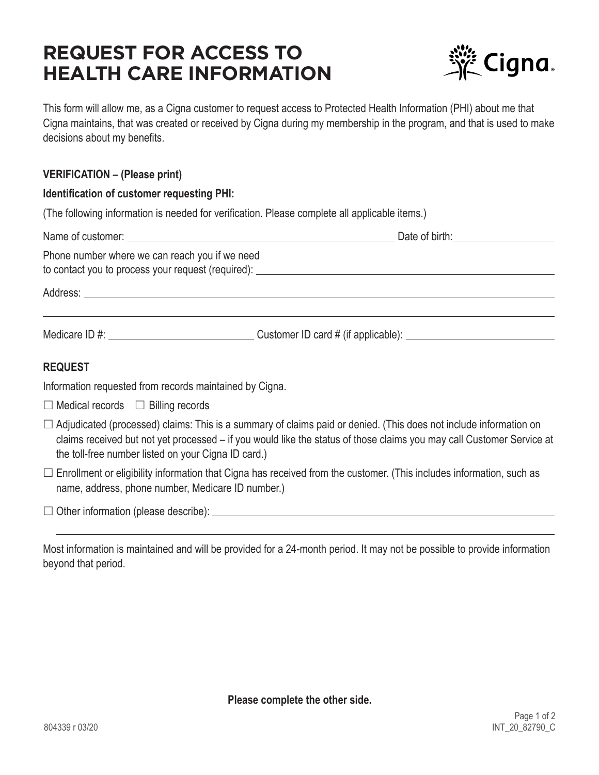# **REQUEST FOR ACCESS TO HEALTH CARE INFORMATION**



This form will allow me, as a Cigna customer to request access to Protected Health Information (PHI) about me that Cigna maintains, that was created or received by Cigna during my membership in the program, and that is used to make decisions about my benefits.

#### **VERIFICATION – (Please print)**

#### **Identification of customer requesting PHI:**

(The following information is needed for verification. Please complete all applicable items.)

| Phone number where we can reach you if we need                                                                              |                                                                                                                                                                                                                                                   |
|-----------------------------------------------------------------------------------------------------------------------------|---------------------------------------------------------------------------------------------------------------------------------------------------------------------------------------------------------------------------------------------------|
|                                                                                                                             |                                                                                                                                                                                                                                                   |
|                                                                                                                             |                                                                                                                                                                                                                                                   |
| <b>REQUEST</b>                                                                                                              |                                                                                                                                                                                                                                                   |
| Information requested from records maintained by Cigna.                                                                     |                                                                                                                                                                                                                                                   |
| $\Box$ Medical records $\Box$ Billing records                                                                               |                                                                                                                                                                                                                                                   |
| the toll-free number listed on your Cigna ID card.)                                                                         | $\Box$ Adjudicated (processed) claims: This is a summary of claims paid or denied. (This does not include information on<br>claims received but not yet processed – if you would like the status of those claims you may call Customer Service at |
| $\Box$ Enrollment or eligibility information that Cigna has received from the customer. (This includes information, such as |                                                                                                                                                                                                                                                   |

Other information (please describe):

name, address, phone number, Medicare ID number.)

Most information is maintained and will be provided for a 24-month period. It may not be possible to provide information beyond that period.